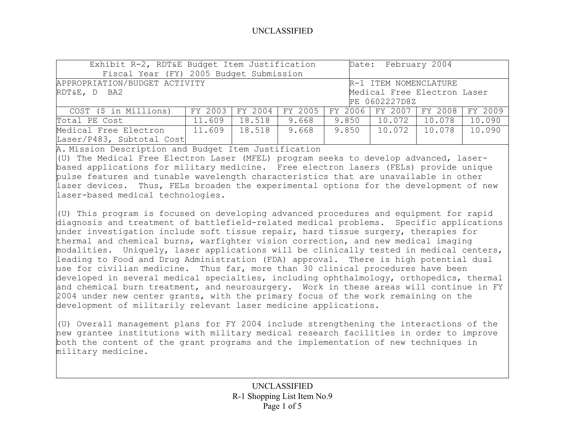| Exhibit R-2, RDT&E Budget Item Justification           |                                                |                 |       | Date: February 2004 |                 |                 |        |
|--------------------------------------------------------|------------------------------------------------|-----------------|-------|---------------------|-----------------|-----------------|--------|
| Fiscal Year (FY) 2005 Budget Submission                |                                                |                 |       |                     |                 |                 |        |
| APPROPRIATION/BUDGET ACTIVITY<br>R-1 ITEM NOMENCLATURE |                                                |                 |       |                     |                 |                 |        |
| Medical Free Electron Laser<br>RDT&E, D BA2            |                                                |                 |       |                     |                 |                 |        |
|                                                        |                                                |                 |       | PE 0602227D8Z       |                 |                 |        |
| COST (\$ in Millions)                                  | FY 2003                                        | FY 2004 FY 2005 |       |                     | FY 2006 FY 2007 | FY 2008 FY 2009 |        |
| Total PE Cost                                          | 11.609                                         | 18.518          | 9.668 | $9.850$             | 10.072          | 10.078          | 10.090 |
| Medical Free Electron                                  | 18.518<br>9.668<br>11.609<br>10.072  <br>9.850 |                 |       |                     | 10.078          | 10.090          |        |
| Laser/P483, Subtotal Cost                              |                                                |                 |       |                     |                 |                 |        |

A. Mission Description and Budget Item Justification

(U) The Medical Free Electron Laser (MFEL) program seeks to develop advanced, laserbased applications for military medicine. Free electron lasers (FELs) provide unique pulse features and tunable wavelength characteristics that are unavailable in other laser devices. Thus, FELs broaden the experimental options for the development of new laser-based medical technologies.

(U) This program is focused on developing advanced procedures and equipment for rapid diagnosis and treatment of battlefield-related medical problems. Specific applications under investigation include soft tissue repair, hard tissue surgery, therapies for thermal and chemical burns, warfighter vision correction, and new medical imaging modalities. Uniquely, laser applications will be clinically tested in medical centers, leading to Food and Drug Administration (FDA) approval. There is high potential dual use for civilian medicine. Thus far, more than 30 clinical procedures have been developed in several medical specialties, including ophthalmology, orthopedics, thermal and chemical burn treatment, and neurosurgery. Work in these areas will continue in FY 2004 under new center grants, with the primary focus of the work remaining on the development of militarily relevant laser medicine applications.

(U) Overall management plans for FY 2004 include strengthening the interactions of the new grantee institutions with military medical research facilities in order to improve both the content of the grant programs and the implementation of new techniques in military medicine.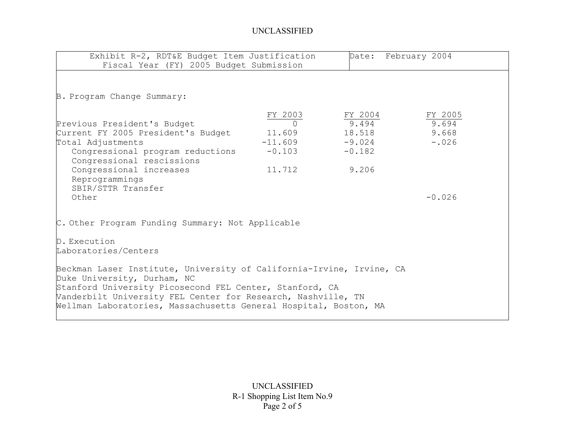| Exhibit R-2, RDT&E Budget Item Justification<br>Fiscal Year (FY) 2005 Budget Submission                                                                                                                                                                                                            |                                                                        | Date: February 2004                                         |                                      |  |
|----------------------------------------------------------------------------------------------------------------------------------------------------------------------------------------------------------------------------------------------------------------------------------------------------|------------------------------------------------------------------------|-------------------------------------------------------------|--------------------------------------|--|
| B. Program Change Summary:                                                                                                                                                                                                                                                                         |                                                                        |                                                             |                                      |  |
| Previous President's Budget<br>Current FY 2005 President's Budget<br>Total Adjustments<br>Congressional program reductions<br>Congressional rescissions<br>Congressional increases<br>Reprogrammings<br>SBIR/STTR Transfer                                                                         | FY 2003<br>$\overline{O}$<br>11.609<br>$-11.609$<br>$-0.103$<br>11.712 | FY 2004<br>9.494<br>18.518<br>$-9.024$<br>$-0.182$<br>9.206 | FY 2005<br>9.694<br>9.668<br>$-.026$ |  |
| Other<br>C. Other Program Funding Summary: Not Applicable                                                                                                                                                                                                                                          |                                                                        |                                                             | $-0.026$                             |  |
| D. Execution<br>Laboratories/Centers                                                                                                                                                                                                                                                               |                                                                        |                                                             |                                      |  |
| Beckman Laser Institute, University of California-Irvine, Irvine, CA<br>Duke University, Durham, NC<br>Stanford University Picosecond FEL Center, Stanford, CA<br>Vanderbilt University FEL Center for Research, Nashville, TN<br>Wellman Laboratories, Massachusetts General Hospital, Boston, MA |                                                                        |                                                             |                                      |  |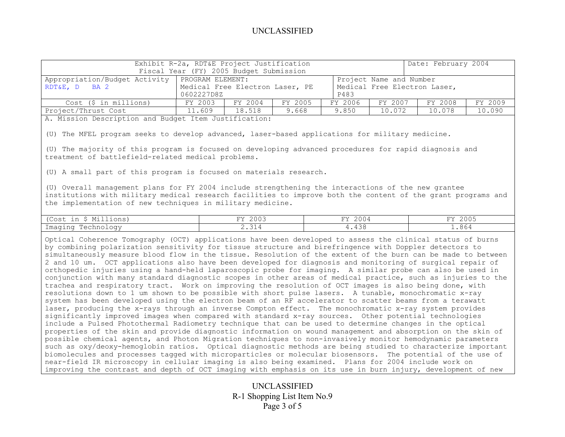|                                                                                                                                                             | Exhibit R-2a, RDT&E Project Justification<br>Fiscal Year (FY) 2005 Budget Submission                                                 |         |         |         |         | Date: February 2004 |         |
|-------------------------------------------------------------------------------------------------------------------------------------------------------------|--------------------------------------------------------------------------------------------------------------------------------------|---------|---------|---------|---------|---------------------|---------|
| Appropriation/Budget Activity<br>RDT&E, D BA 2                                                                                                              | PROGRAM ELEMENT:<br>Project Name and Number<br>Medical Free Electron Laser, PE<br>Medical Free Electron Laser,<br>0602227D8Z<br>P483 |         |         |         |         |                     |         |
| Cost (\$ in millions)                                                                                                                                       | FY 2003                                                                                                                              | FY 2004 | FY 2005 | FY 2006 | FY 2007 | FY 2008             | FY 2009 |
| Project/Thrust Cost                                                                                                                                         | 11.609                                                                                                                               | 18.518  | 9.668   | 9.850   | 10.072  | 10.078              | 10.090  |
| A. Mission Description and Budget Item Justification:<br>(U) The MFEL program seeks to develop advanced, laser-based applications for military medicine.    |                                                                                                                                      |         |         |         |         |                     |         |
| (U) The majority of this program is focused on developing advanced procedures for rapid diagnosis and<br>treatment of battlefield-related medical problems. |                                                                                                                                      |         |         |         |         |                     |         |

(U) A small part of this program is focused on materials research.

(U) Overall management plans for FY 2004 include strengthening the interactions of the new grantee institutions with military medical research facilities to improve both the content of the grant programs and the implementation of new techniques in military medicine.

| ъл.:<br>'Cost<br>Millions)<br>$\sim$<br>----                   | 2003<br>$T \rightarrow T$       | T/T<br>ZUU 4           | 2005<br>T T T |
|----------------------------------------------------------------|---------------------------------|------------------------|---------------|
| Imaging<br>Cachno<br>$\bigcap$ $\bigcap$ $\uparrow$ $\uparrow$ | $\sim$ $\sim$<br><u>. . ټ ۲</u> | $\sim$<br>. .<br>प. प∪ | .864          |

Optical Coherence Tomography (OCT) applications have been developed to assess the clinical status of burns by combining polarization sensitivity for tissue structure and birefringence with Doppler detectors to simultaneously measure blood flow in the tissue. Resolution of the extent of the burn can be made to between 2 and 10 um. OCT applications also have been developed for diagnosis and monitoring of surgical repair of orthopedic injuries using a hand-held laparoscopic probe for imaging. A similar probe can also be used in conjunction with many standard diagnostic scopes in other areas of medical practice, such as injuries to the trachea and respiratory tract. Work on improving the resolution of OCT images is also being done, with resolutions down to 1 um shown to be possible with short pulse lasers. A tunable, monochromatic x-ray system has been developed using the electron beam of an RF accelerator to scatter beams from a terawatt laser, producing the x-rays through an inverse Compton effect. The monochromatic x-ray system provides significantly improved images when compared with standard x-ray sources. Other potential technologies include a Pulsed Photothermal Radiometry technique that can be used to determine changes in the optical properties of the skin and provide diagnostic information on wound management and absorption on the skin of possible chemical agents, and Photon Migration techniques to non-invasively monitor hemodynamic parameters such as oxy/deoxy-hemoglobin ratios. Optical diagnostic methods are being studied to characterize important biomolecules and processes tagged with microparticles or molecular biosensors. The potential of the use of near-field IR microscopy in cellular imaging is also being examined. Plans for 2004 include work on improving the contrast and depth of OCT imaging with emphasis on its use in burn injury, development of new

> UNCLASSIFIED R-1 Shopping List Item No.9 Page 3 of 5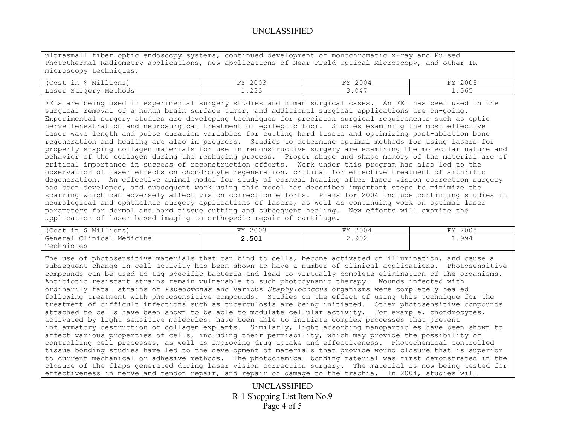ultrasmall fiber optic endoscopy systems, continued development of monochromatic x-ray and Pulsed Photothermal Radiometry applications, new applications of Near Field Optical Microscopy, and other IR microscopy techniques.

| $\cdot \cdot \cap \circ +$<br>$\overline{\phantom{a}}$ | $\cap$ $\cap$ $\cap$ $\cap$<br>$\overline{\phantom{a}}$<br>2003 | ms:<br>.004 | 2005<br>$T^*$ |
|--------------------------------------------------------|-----------------------------------------------------------------|-------------|---------------|
| Laser<br>thods<br>raeri                                | $\cap$ $\cap$ $\cap$<br>. . <i>.</i> .                          | .04         | .065          |

FELs are being used in experimental surgery studies and human surgical cases. An FEL has been used in the surgical removal of a human brain surface tumor, and additional surgical applications are on-going. Experimental surgery studies are developing techniques for precision surgical requirements such as optic nerve fenestration and neurosurgical treatment of epileptic foci. Studies examining the most effective laser wave length and pulse duration variables for cutting hard tissue and optimizing post-ablation bone regeneration and healing are also in progress. Studies to determine optimal methods for using lasers for properly shaping collagen materials for use in reconstructive surgery are examining the molecular nature and behavior of the collagen during the reshaping process. Proper shape and shape memory of the material are of critical importance in success of reconstruction efforts. Work under this program has also led to the observation of laser effects on chondrocyte regeneration, critical for effective treatment of arthritic degeneration. An effective animal model for study of corneal healing after laser vision correction surgery has been developed, and subsequent work using this model has described important steps to minimize the scarring which can adversely affect vision correction efforts. Plans for 2004 include continuing studies in neurological and ophthalmic surgery applications of lasers, as well as continuing work on optimal laser parameters for dermal and hard tissue cutting and subsequent healing. New efforts will examine the application of laser-based imaging to orthopedic repair of cartilage.

| <sup>&lt;</sup> Millions)<br>(Cost<br>in | 2003<br>$T \rightarrow T$ | 2004<br>FΥ | 2005<br>T T T |
|------------------------------------------|---------------------------|------------|---------------|
| Clinical Medicine<br>Genera⊥             | 2.501                     | 2.902      | 1.994         |
| Techniques                               |                           |            |               |

The use of photosensitive materials that can bind to cells, become activated on illumination, and cause a subsequent change in cell activity has been shown to have a number of clinical applications. Photosensitive compounds can be used to tag specific bacteria and lead to virtually complete elimination of the organisms. Antibiotic resistant strains remain vulnerable to such photodynamic therapy. Wounds infected with ordinarily fatal strains of *Psuedomonas* and various *Staphylococcus* organisms were completely healed following treatment with photosensitive compounds. Studies on the effect of using this technique for the treatment of difficult infections such as tuberculosis are being initiated. Other photosensitive compounds attached to cells have been shown to be able to modulate cellular activity. For example, chondrocytes, activated by light sensitive molecules, have been able to initiate complex processes that prevent inflammatory destruction of collagen explants. Similarly, light absorbing nanoparticles have been shown to affect various properties of cells, including their permiability, which may provide the possibility of controlling cell processes, as well as improving drug uptake and effectiveness. Photochemical controlled tissue bonding studies have led to the development of materials that provide wound closure that is superior to current mechanical or adhesive methods. The photochemical bonding material was first demonstrated in the closure of the flaps generated during laser vision correction surgery. The material is now being tested for effectiveness in nerve and tendon repair, and repair of damage to the trachia. In 2004, studies will

> UNCLASSIFIED R-1 Shopping List Item No.9 Page 4 of 5